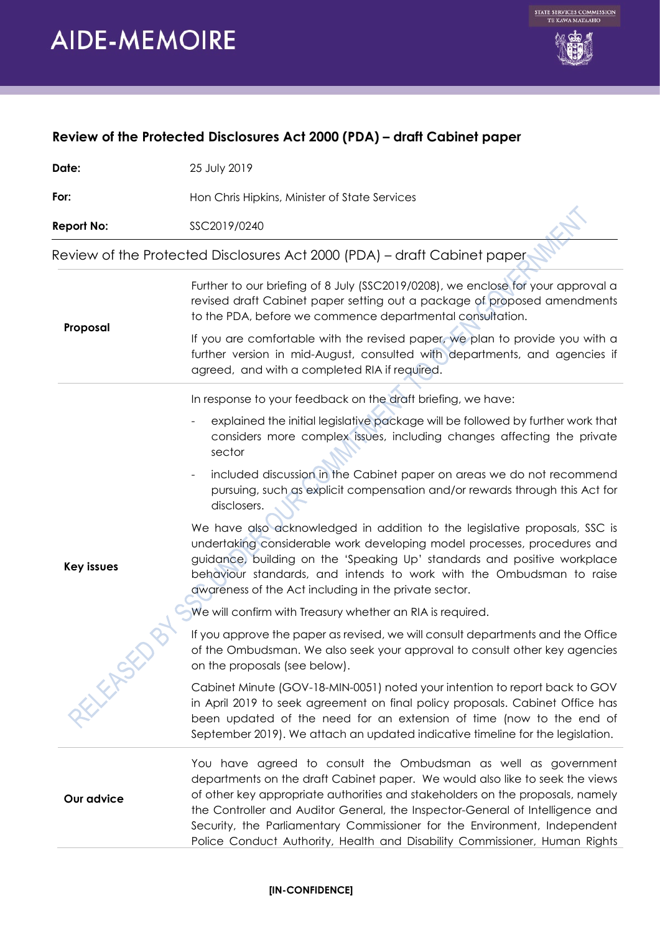## **AIDE-MEMOIRE**



## **Review of the Protected Disclosures Act 2000 (PDA) – draft Cabinet paper**

**Date:** 25 July 2019

**Key issues**

AELER SED

**For:** Hon Chris Hipkins, Minister of State Services

**Report No:** SSC2019/0240

Review of the Protected Disclosures Act 2000 (PDA) – draft Cabinet paper

Further to our briefing of 8 July (SSC2019/0208), we enclose for your approval a revised draft Cabinet paper setting out a package of proposed amendments to the PDA, before we commence departmental consultation.

**Proposal** If you are comfortable with the revised paper, we plan to provide you with a further version in mid-August, consulted with departments, and agencies if agreed, and with a completed RIA if required.

In response to your feedback on the draft briefing, we have:

- explained the initial legislative package will be followed by further work that considers more complex issues, including changes affecting the private sector
- included discussion in the Cabinet paper on areas we do not recommend pursuing, such as explicit compensation and/or rewards through this Act for disclosers.

We have also acknowledged in addition to the legislative proposals, SSC is undertaking considerable work developing model processes, procedures and guidance, building on the 'Speaking Up' standards and positive workplace behaviour standards, and intends to work with the Ombudsman to raise awareness of the Act including in the private sector.

We will confirm with Treasury whether an RIA is required.

If you approve the paper as revised, we will consult departments and the Office of the Ombudsman. We also seek your approval to consult other key agencies on the proposals (see below).

Cabinet Minute (GOV-18-MIN-0051) noted your intention to report back to GOV in April 2019 to seek agreement on final policy proposals. Cabinet Office has been updated of the need for an extension of time (now to the end of September 2019). We attach an updated indicative timeline for the legislation.

**Our advice** You have agreed to consult the Ombudsman as well as government departments on the draft Cabinet paper. We would also like to seek the views of other key appropriate authorities and stakeholders on the proposals, namely the Controller and Auditor General, the Inspector-General of Intelligence and Security, the Parliamentary Commissioner for the Environment, Independent Police Conduct Authority, Health and Disability Commissioner, Human Rights

## **[IN-CONFIDENCE]**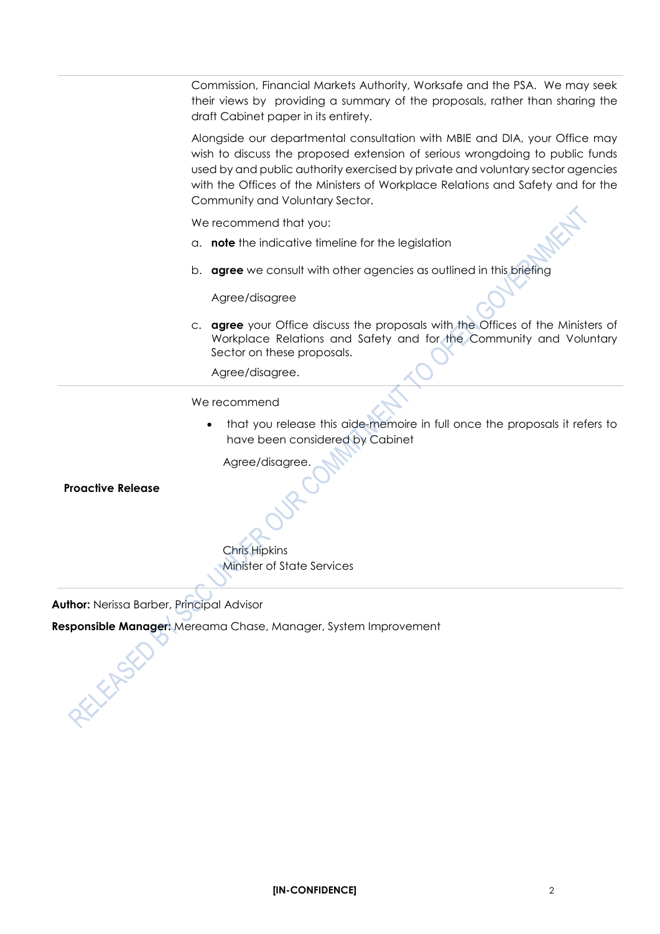Commission, Financial Markets Authority, Worksafe and the PSA. We may seek their views by providing a summary of the proposals, rather than sharing the draft Cabinet paper in its entirety.

Alongside our departmental consultation with MBIE and DIA, your Office may wish to discuss the proposed extension of serious wrongdoing to public funds used by and public authority exercised by private and voluntary sector agencies with the Offices of the Ministers of Workplace Relations and Safety and for the Community and Voluntary Sector.

We recommend that you:

- a. **note** the indicative timeline for the legislation
- b. **agree** we consult with other agencies as outlined in this briefing

Agree/disagree

c. **agree** your Office discuss the proposals with the Offices of the Ministers of Workplace Relations and Safety and for the Community and Voluntary Sector on these proposals.

Agree/disagree.

We recommend

• that you release this aide-memoire in full once the proposals it refers to have been considered by Cabinet

Agree/disagree.

**Proactive Release**

Chris Hipkins Minister of State Services

**Author:** Nerissa Barber, Principal Advisor

**Responsible Manager:** Mereama Chase, Manager, System Improvement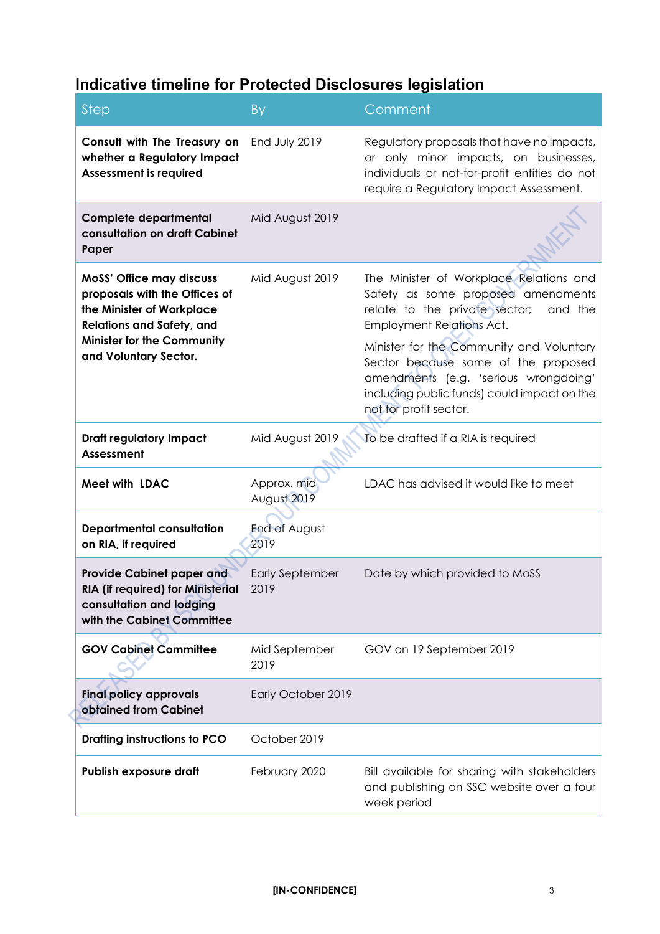## **Indicative timeline for Protected Disclosures legislation**

| <b>Step</b>                                                                                                                                                                                     | By                             | Comment                                                                                                                                                                                                                                                                                                                                                            |
|-------------------------------------------------------------------------------------------------------------------------------------------------------------------------------------------------|--------------------------------|--------------------------------------------------------------------------------------------------------------------------------------------------------------------------------------------------------------------------------------------------------------------------------------------------------------------------------------------------------------------|
| Consult with The Treasury on<br>whether a Regulatory Impact<br><b>Assessment is required</b>                                                                                                    | End July 2019                  | Regulatory proposals that have no impacts,<br>or only minor impacts, on businesses,<br>individuals or not-for-profit entities do not<br>require a Regulatory Impact Assessment.                                                                                                                                                                                    |
| Complete departmental<br>consultation on draft Cabinet<br>Paper                                                                                                                                 | Mid August 2019                |                                                                                                                                                                                                                                                                                                                                                                    |
| <b>MoSS' Office may discuss</b><br>proposals with the Offices of<br>the Minister of Workplace<br><b>Relations and Safety, and</b><br><b>Minister for the Community</b><br>and Voluntary Sector. | Mid August 2019                | The Minister of Workplace Relations and<br>Safety as some proposed amendments<br>relate to the private sector;<br>and the<br><b>Employment Relations Act.</b><br>Minister for the Community and Voluntary<br>Sector because some of the proposed<br>amendments (e.g. 'serious wrongdoing'<br>including public funds) could impact on the<br>not for profit sector. |
| <b>Draft regulatory Impact</b><br><b>Assessment</b>                                                                                                                                             | Mid August 2019                | To be drafted if a RIA is required                                                                                                                                                                                                                                                                                                                                 |
| <b>Meet with LDAC</b>                                                                                                                                                                           | Approx. mid<br>August 2019     | LDAC has advised it would like to meet                                                                                                                                                                                                                                                                                                                             |
| <b>Departmental consultation</b><br>on RIA, if required                                                                                                                                         | End of August<br>2019          |                                                                                                                                                                                                                                                                                                                                                                    |
| Provide Cabinet paper and<br><b>RIA (if required) for Ministerial</b><br>consultation and lodging<br>with the Cabinet Committee                                                                 | <b>Early September</b><br>2019 | Date by which provided to MoSS                                                                                                                                                                                                                                                                                                                                     |
| <b>GOV Cabinet Committee</b>                                                                                                                                                                    | Mid September<br>2019          | GOV on 19 September 2019                                                                                                                                                                                                                                                                                                                                           |
| <b>Final policy approvals</b><br>obtained from Cabinet                                                                                                                                          | Early October 2019             |                                                                                                                                                                                                                                                                                                                                                                    |
| <b>Drafting instructions to PCO</b>                                                                                                                                                             | October 2019                   |                                                                                                                                                                                                                                                                                                                                                                    |
| Publish exposure draft                                                                                                                                                                          | February 2020                  | Bill available for sharing with stakeholders<br>and publishing on SSC website over a four<br>week period                                                                                                                                                                                                                                                           |